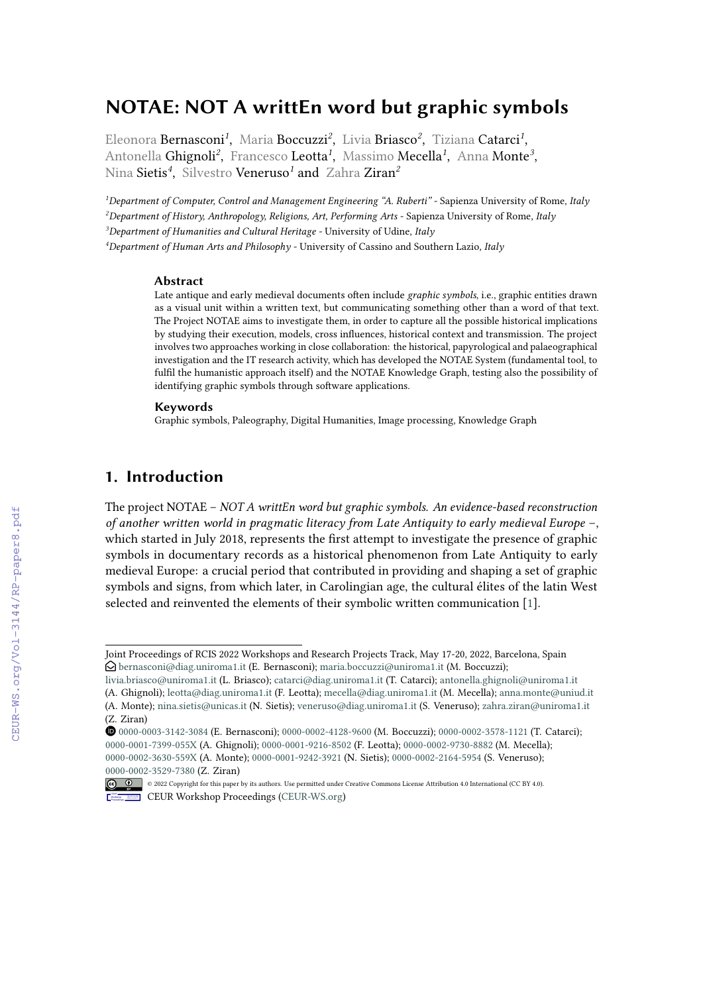# **NOTAE: NOT A writtEn word but graphic symbols**

Eleonora Bernasconi*<sup>1</sup>* , Maria Boccuzzi*<sup>2</sup>* , Livia Briasco*<sup>2</sup>* , Tiziana Catarci*<sup>1</sup>* , Antonella Ghignoli<sup>2</sup>, Francesco Leotta<sup>1</sup>, Massimo Mecella<sup>1</sup>, Anna Monte<sup>3</sup>, Nina Sietis*<sup>4</sup>* , Silvestro Veneruso*<sup>1</sup>* and Zahra Ziran*<sup>2</sup>*

*Department of Computer, Control and Management Engineering "A. Ruberti" -* Sapienza University of Rome*, Italy Department of History, Anthropology, Religions, Art, Performing Arts -* Sapienza University of Rome*, Italy Department of Humanities and Cultural Heritage -* University of Udine*, Italy Department of Human Arts and Philosophy -* University of Cassino and Southern Lazio*, Italy*

#### **Abstract**

Late antique and early medieval documents often include *graphic symbols*, i.e., graphic entities drawn as a visual unit within a written text, but communicating something other than a word of that text. The Project NOTAE aims to investigate them, in order to capture all the possible historical implications by studying their execution, models, cross influences, historical context and transmission. The project involves two approaches working in close collaboration: the historical, papyrological and palaeographical investigation and the IT research activity, which has developed the NOTAE System (fundamental tool, to fulfil the humanistic approach itself) and the NOTAE Knowledge Graph, testing also the possibility of identifying graphic symbols through software applications.

#### **Keywords**

Graphic symbols, Paleography, Digital Humanities, Image processing, Knowledge Graph

# **1. Introduction**

The project NOTAE – *NOT A writtEn word but graphic symbols. An evidence-based reconstruction of another written world in pragmatic literacy from Late Antiquity to early medieval Europe* –, which started in July 2018, represents the first attempt to investigate the presence of graphic symbols in documentary records as a historical phenomenon from Late Antiquity to early medieval Europe: a crucial period that contributed in providing and shaping a set of graphic symbols and signs, from which later, in Carolingian age, the cultural élites of the latin West selected and reinvented the elements of their symbolic written communication [\[1\]](#page--1-0).

Orcid [0000-0003-3142-3084](https://orcid.org/0000-0003-3142-3084) (E. Bernasconi); [0000-0002-4128-9600](https://orcid.org/0000-0002-4128-9600) (M. Boccuzzi); [0000-0002-3578-1121](https://orcid.org/0000-0002-3578-1121) (T. Catarci); [0000-0001-7399-055X](https://orcid.org/0000-0001-7399-055X) (A. Ghignoli); [0000-0001-9216-8502](https://orcid.org/0000-0001-9216-8502) (F. Leotta); [0000-0002-9730-8882](https://orcid.org/0000-0002-9730-8882) (M. Mecella); [0000-0002-3630-559X](https://orcid.org/0000-0002-3630-559X) (A. Monte); [0000-0001-9242-3921](https://orcid.org/0000-0001-9242-3921) (N. Sietis); [0000-0002-2164-5954](https://orcid.org/0000-0002-2164-5954) (S. Veneruso); [0000-0002-3529-7380](https://orcid.org/0000-0002-3529-7380) (Z. Ziran)



<sup>© 2022</sup> Copyright for this paper by its authors. Use permitted under Creative Commons License Attribution 4.0 International (CC BY 4.0). CEUR Workshop [Proceedings](http://ceur-ws.org) [\(CEUR-WS.org\)](http://ceur-ws.org)

Joint Proceedings of RCIS 2022 Workshops and Research Projects Track, May 17-20, 2022, Barcelona, Spain **○** $bernasconi@diag.uniroma1.it (E. Bernasconi); maria.boccuzzi@uniroma1.it (M. Boccuzzi);$  $bernasconi@diag.uniroma1.it (E. Bernasconi); maria.boccuzzi@uniroma1.it (M. Boccuzzi);$  $bernasconi@diag.uniroma1.it (E. Bernasconi); maria.boccuzzi@uniroma1.it (M. Boccuzzi);$  $bernasconi@diag.uniroma1.it (E. Bernasconi); maria.boccuzzi@uniroma1.it (M. Boccuzzi);$  $bernasconi@diag.uniroma1.it (E. Bernasconi); maria.boccuzzi@uniroma1.it (M. Boccuzzi);$ 

[livia.briasco@uniroma1.it](mailto:livia.briasco@uniroma1.it) (L. Briasco); [catarci@diag.uniroma1.it](mailto:catarci@diag.uniroma1.it) (T. Catarci); [antonella.ghignoli@uniroma1.it](mailto:antonella.ghignoli@uniroma1.it)

<sup>(</sup>A. Ghignoli); [leotta@diag.uniroma1.it](mailto:leotta@diag.uniroma1.it) (F. Leotta); [mecella@diag.uniroma1.it](mailto:mecella@diag.uniroma1.it) (M. Mecella); [anna.monte@uniud.it](mailto:anna.monte@uniud.it)

<sup>(</sup>A. Monte); [nina.sietis@unicas.it](mailto:nina.sietis@unicas.it) (N. Sietis); [veneruso@diag.uniroma1.it](mailto:veneruso@diag.uniroma1.it) (S. Veneruso); [zahra.ziran@uniroma1.it](mailto:zahra.ziran@uniroma1.it) (Z. Ziran)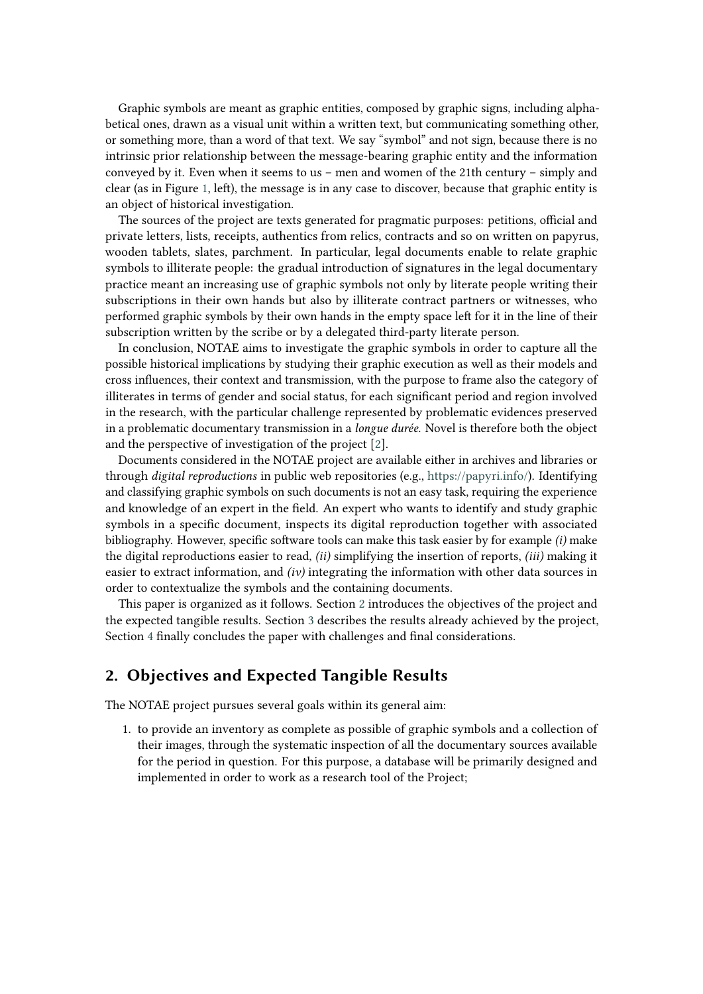Graphic symbols are meant as graphic entities, composed by graphic signs, including alphabetical ones, drawn as a visual unit within a written text, but communicating something other, or something more, than a word of that text. We say "symbol" and not sign, because there is no intrinsic prior relationship between the message-bearing graphic entity and the information conveyed by it. Even when it seems to us – men and women of the 21th century – simply and clear (as in Figure [1,](#page-2-0) left), the message is in any case to discover, because that graphic entity is an object of historical investigation.

The sources of the project are texts generated for pragmatic purposes: petitions, official and private letters, lists, receipts, authentics from relics, contracts and so on written on papyrus, wooden tablets, slates, parchment. In particular, legal documents enable to relate graphic symbols to illiterate people: the gradual introduction of signatures in the legal documentary practice meant an increasing use of graphic symbols not only by literate people writing their subscriptions in their own hands but also by illiterate contract partners or witnesses, who performed graphic symbols by their own hands in the empty space left for it in the line of their subscription written by the scribe or by a delegated third-party literate person.

In conclusion, NOTAE aims to investigate the graphic symbols in order to capture all the possible historical implications by studying their graphic execution as well as their models and cross influences, their context and transmission, with the purpose to frame also the category of illiterates in terms of gender and social status, for each significant period and region involved in the research, with the particular challenge represented by problematic evidences preserved in a problematic documentary transmission in a *longue durée*. Novel is therefore both the object and the perspective of investigation of the project [\[2\]](#page-5-0).

Documents considered in the NOTAE project are available either in archives and libraries or through *digital reproductions* in public web repositories (e.g., [https://papyri.info/\)](https://papyri.info/). Identifying and classifying graphic symbols on such documents is not an easy task, requiring the experience and knowledge of an expert in the field. An expert who wants to identify and study graphic symbols in a specific document, inspects its digital reproduction together with associated bibliography. However, specific software tools can make this task easier by for example *(i)* make the digital reproductions easier to read, *(ii)* simplifying the insertion of reports, *(iii)* making it easier to extract information, and *(iv)* integrating the information with other data sources in order to contextualize the symbols and the containing documents.

This paper is organized as it follows. Section [2](#page-1-0) introduces the objectives of the project and the expected tangible results. Section [3](#page-3-0) describes the results already achieved by the project, Section [4](#page-5-1) finally concludes the paper with challenges and final considerations.

## <span id="page-1-0"></span>**2. Objectives and Expected Tangible Results**

The NOTAE project pursues several goals within its general aim:

1. to provide an inventory as complete as possible of graphic symbols and a collection of their images, through the systematic inspection of all the documentary sources available for the period in question. For this purpose, a database will be primarily designed and implemented in order to work as a research tool of the Project;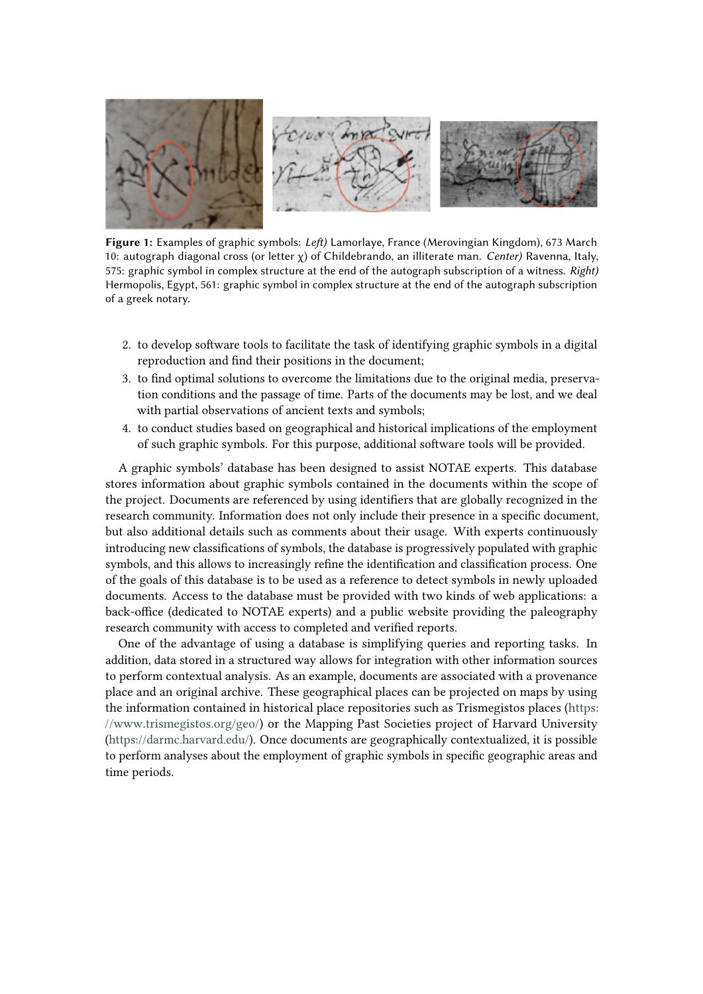<span id="page-2-0"></span>

**Figure 1:** Examples of graphic symbols: *Left)* Lamorlaye, France (Merovingian Kingdom), 673 March 10: autograph diagonal cross (or letter χ) of Childebrando, an illiterate man. *Center)* Ravenna, Italy, 575: graphic symbol in complex structure at the end of the autograph subscription of a witness. *Right)* Hermopolis, Egypt, 561: graphic symbol in complex structure at the end of the autograph subscription of a greek notary.

- 2. to develop software tools to facilitate the task of identifying graphic symbols in a digital reproduction and find their positions in the document;
- 3. to find optimal solutions to overcome the limitations due to the original media, preservation conditions and the passage of time. Parts of the documents may be lost, and we deal with partial observations of ancient texts and symbols;
- 4. to conduct studies based on geographical and historical implications of the employment of such graphic symbols. For this purpose, additional software tools will be provided.

A graphic symbols' database has been designed to assist NOTAE experts. This database stores information about graphic symbols contained in the documents within the scope of the project. Documents are referenced by using identifiers that are globally recognized in the research community. Information does not only include their presence in a specific document, but also additional details such as comments about their usage. With experts continuously introducing new classifications of symbols, the database is progressively populated with graphic symbols, and this allows to increasingly refine the identification and classification process. One of the goals of this database is to be used as a reference to detect symbols in newly uploaded documents. Access to the database must be provided with two kinds of web applications: a back-office (dedicated to NOTAE experts) and a public website providing the paleography research community with access to completed and verified reports.

One of the advantage of using a database is simplifying queries and reporting tasks. In addition, data stored in a structured way allows for integration with other information sources to perform contextual analysis. As an example, documents are associated with a provenance place and an original archive. These geographical places can be projected on maps by using the information contained in historical place repositories such as Trismegistos places [\(https:](https://www.trismegistos.org/geo/) [//www.trismegistos.org/geo/\)](https://www.trismegistos.org/geo/) or the Mapping Past Societies project of Harvard University [\(https://darmc.harvard.edu/\)](https://darmc.harvard.edu/). Once documents are geographically contextualized, it is possible to perform analyses about the employment of graphic symbols in specific geographic areas and time periods.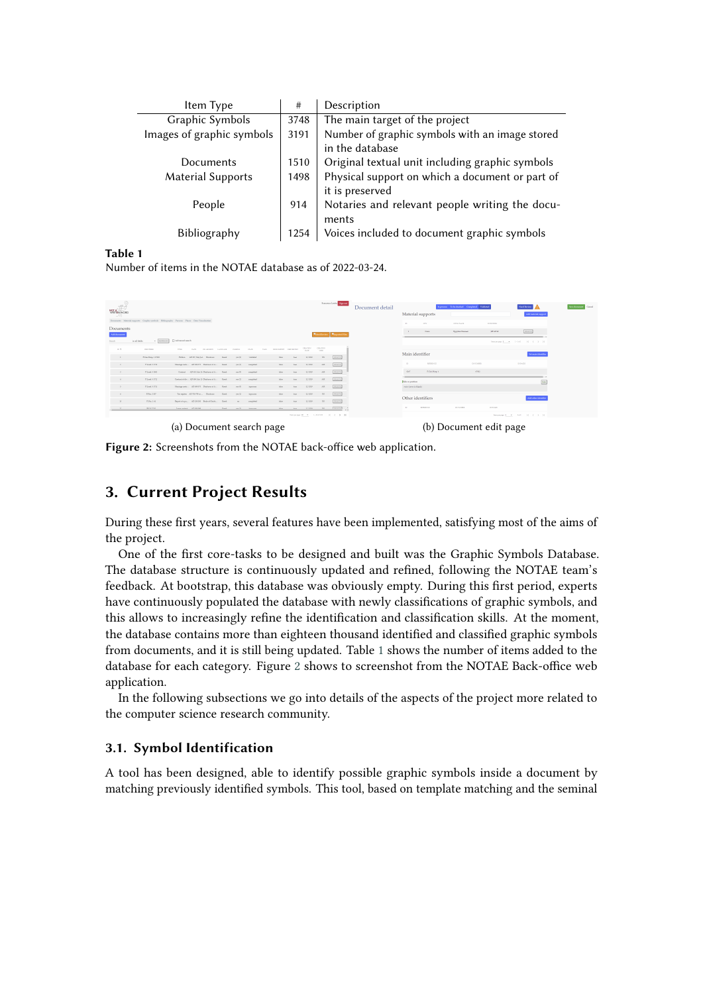<span id="page-3-1"></span>

| Item Type                 | #    | Description                                     |
|---------------------------|------|-------------------------------------------------|
| Graphic Symbols           | 3748 | The main target of the project                  |
| Images of graphic symbols | 3191 | Number of graphic symbols with an image stored  |
|                           |      | in the database                                 |
| Documents                 | 1510 | Original textual unit including graphic symbols |
| <b>Material Supports</b>  | 1498 | Physical support on which a document or part of |
|                           |      | it is preserved                                 |
| People                    | 914  | Notaries and relevant people writing the docu-  |
|                           |      | ments                                           |
| <b>Bibliography</b>       | 1254 | Voices included to document graphic symbols     |
|                           |      |                                                 |

**Table 1**

Number of items in the NOTAE database as of 2022-03-24.

<span id="page-3-2"></span>

| WRITING WORL<br>w.       |                                 | Documents Material supports Graphic symbols Bibliography Persons Flaos Data Visualization |                                   |                             |                                                   |                 | Prevence Levis Control          | Document detail        | Inprime. Telecholog Coopletel Valdand<br>Need Review<br>Material supports<br>Add material reppor<br><b>CITY</b><br>COSS FLACE<br>permentals.<br><b>COL</b> | Servicesment Canad |
|--------------------------|---------------------------------|-------------------------------------------------------------------------------------------|-----------------------------------|-----------------------------|---------------------------------------------------|-----------------|---------------------------------|------------------------|------------------------------------------------------------------------------------------------------------------------------------------------------------|--------------------|
| Documents                |                                 |                                                                                           |                                   |                             |                                                   |                 |                                 |                        | [num]<br>Date:<br>Egyptian Manager<br><b>SIZATA</b><br>$\sim$                                                                                              |                    |
| Add decorated            |                                 |                                                                                           |                                   |                             |                                                   |                 | <b>Wind Review Managed File</b> |                        |                                                                                                                                                            |                    |
| Search.                  | $+$   KEFR2-SH<br>in sti fields | C Advanced search                                                                         |                                   |                             |                                                   |                 |                                 |                        | Imaginger E. ( + 1-1-61 - 10 - 0 - 2 - 21                                                                                                                  |                    |
| $-10.4$                  | <b>DESTARE</b>                  | <b>STAK</b><br>Era TX<br>OR AROSTE LANGUAGE                                               | <b>STATE</b><br>OMNOSE            | TAGS - MONTAPORT NEEDERIFTY | CREATION<br>DATE.                                 | CRASSO<br>LUES. |                                 |                        | Main identifier<br>Set main identific                                                                                                                      |                    |
| $\sim$                   | 7 Cair Many, 1 67002            | Fellow ADMCMardal Disabers<br><b>Guilt</b>                                                | midstate<br>yes (2)               | Mar.                        | 33/2018<br>hour.                                  | 500             | <b>DELETT</b>                   |                        |                                                                                                                                                            |                    |
| $\mathbb{R}$             | Pland 3 1722                    | Maniage costs AD 999-972 Disclosure of A., Greek                                          | $-121$ and $-121$<br>completed    | <b>Mar</b>                  | 12/2028<br><b>Bones</b>                           | AM              | <b>DELETE</b>                   |                        | <b>BUSINESS</b><br><b>CONDITE</b><br><b>CREASED</b><br><b>STE</b>                                                                                          |                    |
| $\mathcal{F}$            | Florid 5 tors                   | Contract AD 353, Nor 24 Diceirons of A. . Greek                                           | completed<br>Yes Oil              | MH                          | 32/289<br><b>bue</b>                              | AM              | peters.                         |                        | P.Coir Mage 6<br>\$367<br>step.                                                                                                                            |                    |
| $\mathbf{A}$             | Pland 3 ITE                     | Contrast of dir., AD 305, Sale 13 Directors of A., Greek                                  | suppleted<br>250                  | Mar.                        | 12/2028<br>hour.                                  | AM1             | DELITE                          |                        | $t_{d2}$<br>Eide or position.                                                                                                                              |                    |
| $5 -$                    | Flood 5 1711                    | Mariage costs AD 505-375 Direbook of A., Greek                                            | yes (b)<br>inprocess              | MH                          | 11/289<br>too.                                    | AM <sup>1</sup> | peurre.                         |                        | recte downs in Islands)                                                                                                                                    |                    |
| $\mathbf{r}$             | $2.75\%$ $2.30\%$               | Tax ergister AD 700-700 av  Disalarm<br>David:                                            | $-121$ and $-1$<br><b>Systems</b> | Mar                         | 33/2010<br>brar.                                  | $30^{\circ}$    | <b>DELETE</b>                   |                        |                                                                                                                                                            |                    |
| 155                      | DOM:141                         | Reputators., AD15939 BookstOrch., Greit                                                   | completed<br><b>AR</b>            | Mar                         | 11/289<br><b>South</b>                            | $N_{\rm c}$     | <b>DELETE</b>                   |                        | Other identifiers<br>AAS of an identifier                                                                                                                  |                    |
| control of the con-      | <b>DE SE EVIDE</b>              | Taxas contract - APD 930-920<br>Days:                                                     | was the forecomes                 | Adver-                      | <b>STARR</b><br>the con-                          | Art 1           | Freemal *                       |                        | DOMMER.<br>ED FACES<br><b>HITURNEE</b><br><b>THE</b>                                                                                                       |                    |
|                          |                                 |                                                                                           |                                   |                             | Integrate II ( $\pi$ ). Likewise ( ) ( ) ( ) ( )] |                 |                                 |                        | haspepared with the tell of the St. (2012).                                                                                                                |                    |
| (a) Document search page |                                 |                                                                                           |                                   |                             |                                                   |                 |                                 | (b) Document edit page |                                                                                                                                                            |                    |

**Figure 2:** Screenshots from the NOTAE back-office web application.

# <span id="page-3-0"></span>**3. Current Project Results**

During these first years, several features have been implemented, satisfying most of the aims of the project.

One of the first core-tasks to be designed and built was the Graphic Symbols Database. The database structure is continuously updated and refined, following the NOTAE team's feedback. At bootstrap, this database was obviously empty. During this first period, experts have continuously populated the database with newly classifications of graphic symbols, and this allows to increasingly refine the identification and classification skills. At the moment, the database contains more than eighteen thousand identified and classified graphic symbols from documents, and it is still being updated. Table [1](#page-3-1) shows the number of items added to the database for each category. Figure [2](#page-3-2) shows to screenshot from the NOTAE Back-office web application.

In the following subsections we go into details of the aspects of the project more related to the computer science research community.

#### **3.1. Symbol Identification**

A tool has been designed, able to identify possible graphic symbols inside a document by matching previously identified symbols. This tool, based on template matching and the seminal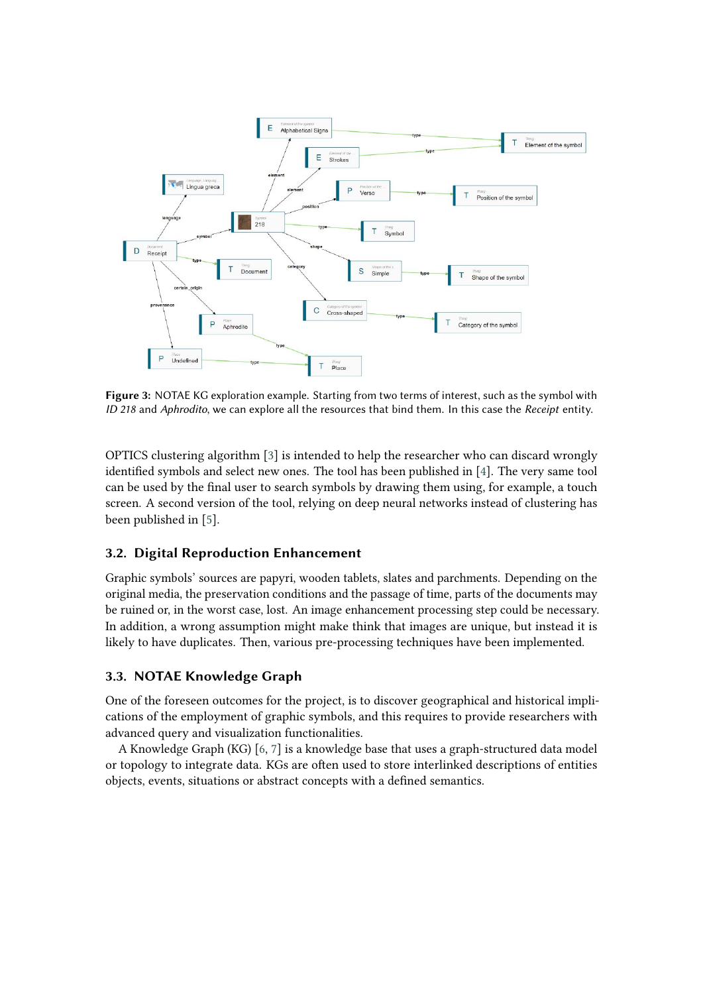<span id="page-4-0"></span>

**Figure 3:** NOTAE KG exploration example. Starting from two terms of interest, such as the symbol with *ID 218* and *Aphrodito*, we can explore all the resources that bind them. In this case the *Receipt* entity.

OPTICS clustering algorithm [\[3\]](#page-5-2) is intended to help the researcher who can discard wrongly identified symbols and select new ones. The tool has been published in [\[4\]](#page-6-0). The very same tool can be used by the final user to search symbols by drawing them using, for example, a touch screen. A second version of the tool, relying on deep neural networks instead of clustering has been published in [\[5\]](#page-6-1).

### **3.2. Digital Reproduction Enhancement**

Graphic symbols' sources are papyri, wooden tablets, slates and parchments. Depending on the original media, the preservation conditions and the passage of time, parts of the documents may be ruined or, in the worst case, lost. An image enhancement processing step could be necessary. In addition, a wrong assumption might make think that images are unique, but instead it is likely to have duplicates. Then, various pre-processing techniques have been implemented.

### **3.3. NOTAE Knowledge Graph**

One of the foreseen outcomes for the project, is to discover geographical and historical implications of the employment of graphic symbols, and this requires to provide researchers with advanced query and visualization functionalities.

A Knowledge Graph (KG) [\[6,](#page-6-2) [7\]](#page-6-3) is a knowledge base that uses a graph-structured data model or topology to integrate data. KGs are often used to store interlinked descriptions of entities objects, events, situations or abstract concepts with a defined semantics.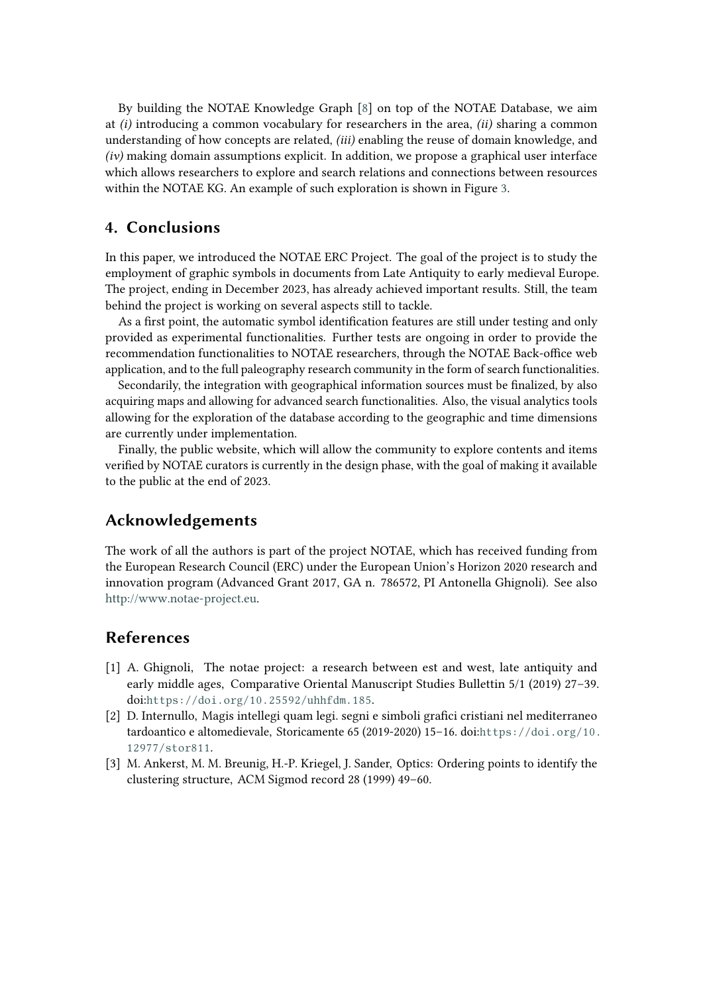By building the NOTAE Knowledge Graph [\[8\]](#page-6-4) on top of the NOTAE Database, we aim at *(i)* introducing a common vocabulary for researchers in the area, *(ii)* sharing a common understanding of how concepts are related, *(iii)* enabling the reuse of domain knowledge, and *(iv)* making domain assumptions explicit. In addition, we propose a graphical user interface which allows researchers to explore and search relations and connections between resources within the NOTAE KG. An example of such exploration is shown in Figure [3.](#page-4-0)

# <span id="page-5-1"></span>**4. Conclusions**

In this paper, we introduced the NOTAE ERC Project. The goal of the project is to study the employment of graphic symbols in documents from Late Antiquity to early medieval Europe. The project, ending in December 2023, has already achieved important results. Still, the team behind the project is working on several aspects still to tackle.

As a first point, the automatic symbol identification features are still under testing and only provided as experimental functionalities. Further tests are ongoing in order to provide the recommendation functionalities to NOTAE researchers, through the NOTAE Back-office web application, and to the full paleography research community in the form of search functionalities.

Secondarily, the integration with geographical information sources must be finalized, by also acquiring maps and allowing for advanced search functionalities. Also, the visual analytics tools allowing for the exploration of the database according to the geographic and time dimensions are currently under implementation.

Finally, the public website, which will allow the community to explore contents and items verified by NOTAE curators is currently in the design phase, with the goal of making it available to the public at the end of 2023.

### **Acknowledgements**

The work of all the authors is part of the project NOTAE, which has received funding from the European Research Council (ERC) under the European Union's Horizon 2020 research and innovation program (Advanced Grant 2017, GA n. 786572, PI Antonella Ghignoli). See also [http://www.notae-project.eu.](http://www.notae-project.eu)

### **References**

- [1] A. Ghignoli, The notae project: a research between est and west, late antiquity and early middle ages, Comparative Oriental Manuscript Studies Bullettin 5/1 (2019) 27–39. doi:[https://doi.org/10.25592/uhhfdm.185](http://dx.doi.org/https://doi.org/10.25592/uhhfdm.185).
- <span id="page-5-0"></span>[2] D. Internullo, Magis intellegi quam legi. segni e simboli grafici cristiani nel mediterraneo tardoantico e altomedievale, Storicamente 65 (2019-2020) 15–16. doi:[https://doi.org/10.](http://dx.doi.org/https://doi.org/10.12977/stor811) [12977/stor811](http://dx.doi.org/https://doi.org/10.12977/stor811).
- <span id="page-5-2"></span>[3] M. Ankerst, M. M. Breunig, H.-P. Kriegel, J. Sander, Optics: Ordering points to identify the clustering structure, ACM Sigmod record 28 (1999) 49–60.